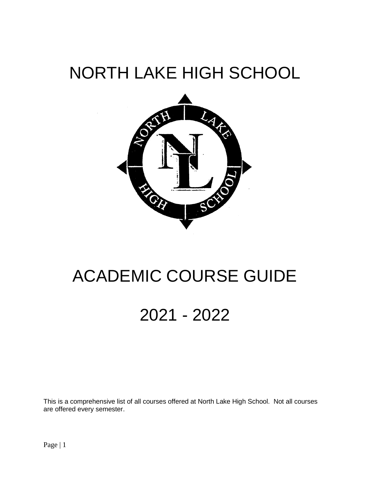# NORTH LAKE HIGH SCHOOL



# ACADEMIC COURSE GUIDE

# 2021 - 2022

This is a comprehensive list of all courses offered at North Lake High School. Not all courses are offered every semester.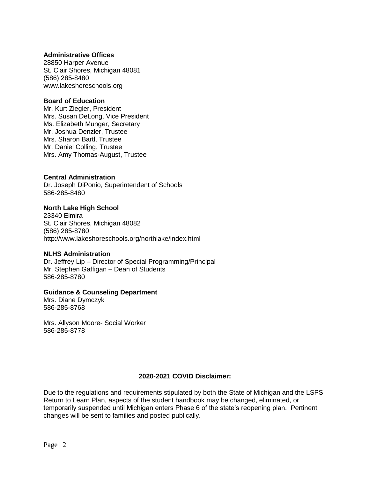# **Administrative Offices**

28850 Harper Avenue St. Clair Shores, Michigan 48081 (586) 285-8480 www.lakeshoreschools.org

#### **Board of Education**

Mr. Kurt Ziegler, President Mrs. Susan DeLong, Vice President Ms. Elizabeth Munger, Secretary Mr. Joshua Denzler, Trustee Mrs. Sharon Bartl, Trustee Mr. Daniel Colling, Trustee Mrs. Amy Thomas-August, Trustee

# **Central Administration**

Dr. Joseph DiPonio, Superintendent of Schools 586-285-8480

# **North Lake High School**

23340 Elmira St. Clair Shores, Michigan 48082 (586) 285-8780 http://www.lakeshoreschools.org/northlake/index.html

#### **NLHS Administration**

Dr. Jeffrey Lip – Director of Special Programming/Principal Mr. Stephen Gaffigan – Dean of Students 586-285-8780

#### **Guidance & Counseling Department**

Mrs. Diane Dymczyk 586-285-8768

Mrs. Allyson Moore- Social Worker 586-285-8778

#### **2020-2021 COVID Disclaimer:**

Due to the regulations and requirements stipulated by both the State of Michigan and the LSPS Return to Learn Plan, aspects of the student handbook may be changed, eliminated, or temporarily suspended until Michigan enters Phase 6 of the state's reopening plan. Pertinent changes will be sent to families and posted publically.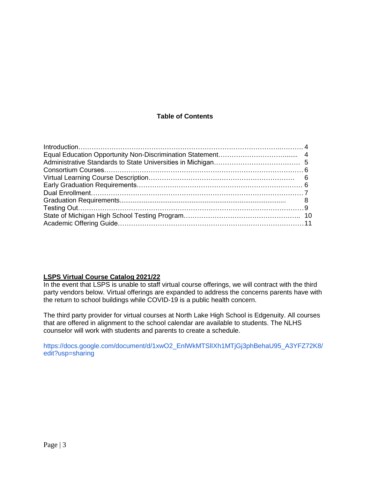# **Table of Contents**

# **LSPS Virtual Course Catalog 2021/22**

In the event that LSPS is unable to staff virtual course offerings, we will contract with the third party vendors below. Virtual offerings are expanded to address the concerns parents have with the return to school buildings while COVID-19 is a public health concern.

The third party provider for virtual courses at North Lake High School is Edgenuity. All courses that are offered in alignment to the school calendar are available to students. The NLHS counselor will work with students and parents to create a schedule.

https://docs.google.com/document/d/1xwO2\_EnlWkMTSlIXh1MTjGj3phBehaU95\_A3YFZ72K8/ edit?usp=sharing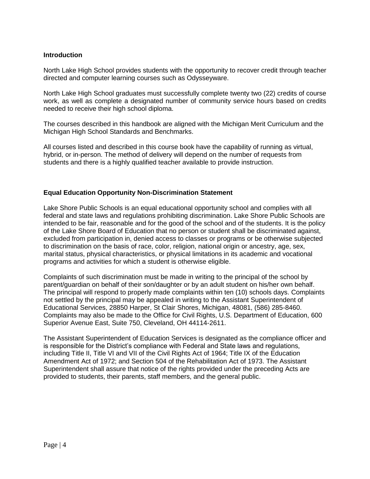# **Introduction**

North Lake High School provides students with the opportunity to recover credit through teacher directed and computer learning courses such as Odysseyware.

North Lake High School graduates must successfully complete twenty two (22) credits of course work, as well as complete a designated number of community service hours based on credits needed to receive their high school diploma.

The courses described in this handbook are aligned with the Michigan Merit Curriculum and the Michigan High School Standards and Benchmarks.

All courses listed and described in this course book have the capability of running as virtual, hybrid, or in-person. The method of delivery will depend on the number of requests from students and there is a highly qualified teacher available to provide instruction.

# **Equal Education Opportunity Non-Discrimination Statement**

Lake Shore Public Schools is an equal educational opportunity school and complies with all federal and state laws and regulations prohibiting discrimination. Lake Shore Public Schools are intended to be fair, reasonable and for the good of the school and of the students. It is the policy of the Lake Shore Board of Education that no person or student shall be discriminated against, excluded from participation in, denied access to classes or programs or be otherwise subjected to discrimination on the basis of race, color, religion, national origin or ancestry, age, sex, marital status, physical characteristics, or physical limitations in its academic and vocational programs and activities for which a student is otherwise eligible.

Complaints of such discrimination must be made in writing to the principal of the school by parent/guardian on behalf of their son/daughter or by an adult student on his/her own behalf. The principal will respond to properly made complaints within ten (10) schools days. Complaints not settled by the principal may be appealed in writing to the Assistant Superintendent of Educational Services, 28850 Harper, St Clair Shores, Michigan, 48081, (586) 285-8460. Complaints may also be made to the Office for Civil Rights, U.S. Department of Education, 600 Superior Avenue East, Suite 750, Cleveland, OH 44114-2611.

The Assistant Superintendent of Education Services is designated as the compliance officer and is responsible for the District's compliance with Federal and State laws and regulations, including Title II, Title VI and VII of the Civil Rights Act of 1964; Title IX of the Education Amendment Act of 1972; and Section 504 of the Rehabilitation Act of 1973. The Assistant Superintendent shall assure that notice of the rights provided under the preceding Acts are provided to students, their parents, staff members, and the general public.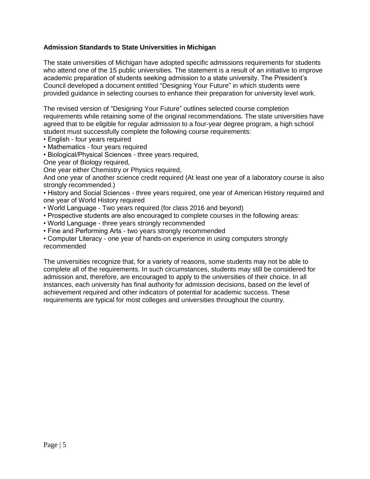# **Admission Standards to State Universities in Michigan**

The state universities of Michigan have adopted specific admissions requirements for students who attend one of the 15 public universities. The statement is a result of an initiative to improve academic preparation of students seeking admission to a state university. The President's Council developed a document entitled "Designing Your Future" in which students were provided guidance in selecting courses to enhance their preparation for university level work.

The revised version of "Designing Your Future" outlines selected course completion requirements while retaining some of the original recommendations. The state universities have agreed that to be eligible for regular admission to a four-year degree program, a high school student must successfully complete the following course requirements:

- English four years required
- Mathematics four years required
- Biological/Physical Sciences three years required,
- One year of Biology required,

One year either Chemistry or Physics required,

And one year of another science credit required (At least one year of a laboratory course is also strongly recommended.)

• History and Social Sciences - three years required, one year of American History required and one year of World History required

- World Language Two years required (for class 2016 and beyond)
- Prospective students are also encouraged to complete courses in the following areas:
- World Language three years strongly recommended
- Fine and Performing Arts two years strongly recommended

• Computer Literacy - one year of hands-on experience in using computers strongly recommended

The universities recognize that, for a variety of reasons, some students may not be able to complete all of the requirements. In such circumstances, students may still be considered for admission and, therefore, are encouraged to apply to the universities of their choice. In all instances, each university has final authority for admission decisions, based on the level of achievement required and other indicators of potential for academic success. These requirements are typical for most colleges and universities throughout the country.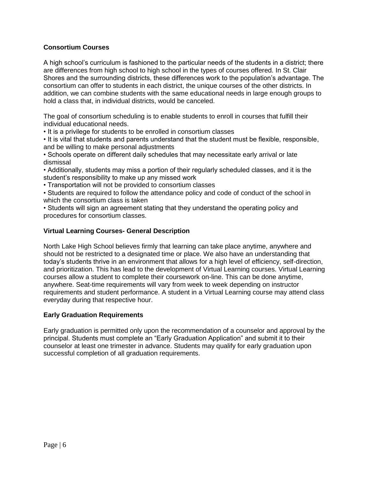# **Consortium Courses**

A high school's curriculum is fashioned to the particular needs of the students in a district; there are differences from high school to high school in the types of courses offered. In St. Clair Shores and the surrounding districts, these differences work to the population's advantage. The consortium can offer to students in each district, the unique courses of the other districts. In addition, we can combine students with the same educational needs in large enough groups to hold a class that, in individual districts, would be canceled.

The goal of consortium scheduling is to enable students to enroll in courses that fulfill their individual educational needs.

• It is a privilege for students to be enrolled in consortium classes

• It is vital that students and parents understand that the student must be flexible, responsible, and be willing to make personal adjustments

• Schools operate on different daily schedules that may necessitate early arrival or late dismissal

• Additionally, students may miss a portion of their regularly scheduled classes, and it is the student's responsibility to make up any missed work

• Transportation will not be provided to consortium classes

• Students are required to follow the attendance policy and code of conduct of the school in which the consortium class is taken

• Students will sign an agreement stating that they understand the operating policy and procedures for consortium classes.

# **Virtual Learning Courses- General Description**

North Lake High School believes firmly that learning can take place anytime, anywhere and should not be restricted to a designated time or place. We also have an understanding that today's students thrive in an environment that allows for a high level of efficiency, self-direction, and prioritization. This has lead to the development of Virtual Learning courses. Virtual Learning courses allow a student to complete their coursework on-line. This can be done anytime, anywhere. Seat-time requirements will vary from week to week depending on instructor requirements and student performance. A student in a Virtual Learning course may attend class everyday during that respective hour.

#### **Early Graduation Requirements**

Early graduation is permitted only upon the recommendation of a counselor and approval by the principal. Students must complete an "Early Graduation Application" and submit it to their counselor at least one trimester in advance. Students may qualify for early graduation upon successful completion of all graduation requirements.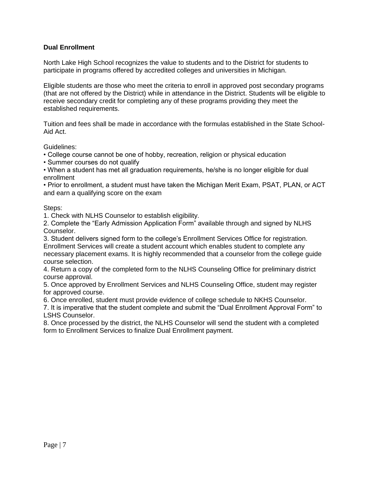# **Dual Enrollment**

North Lake High School recognizes the value to students and to the District for students to participate in programs offered by accredited colleges and universities in Michigan.

Eligible students are those who meet the criteria to enroll in approved post secondary programs (that are not offered by the District) while in attendance in the District. Students will be eligible to receive secondary credit for completing any of these programs providing they meet the established requirements.

Tuition and fees shall be made in accordance with the formulas established in the State School-Aid Act.

Guidelines:

- College course cannot be one of hobby, recreation, religion or physical education
- Summer courses do not qualify
- When a student has met all graduation requirements, he/she is no longer eligible for dual enrollment

• Prior to enrollment, a student must have taken the Michigan Merit Exam, PSAT, PLAN, or ACT and earn a qualifying score on the exam

# Steps:

1. Check with NLHS Counselor to establish eligibility.

2. Complete the "Early Admission Application Form" available through and signed by NLHS Counselor.

3. Student delivers signed form to the college's Enrollment Services Office for registration. Enrollment Services will create a student account which enables student to complete any necessary placement exams. It is highly recommended that a counselor from the college guide course selection.

4. Return a copy of the completed form to the NLHS Counseling Office for preliminary district course approval.

5. Once approved by Enrollment Services and NLHS Counseling Office, student may register for approved course.

6. Once enrolled, student must provide evidence of college schedule to NKHS Counselor.

7. It is imperative that the student complete and submit the "Dual Enrollment Approval Form" to LSHS Counselor.

8. Once processed by the district, the NLHS Counselor will send the student with a completed form to Enrollment Services to finalize Dual Enrollment payment.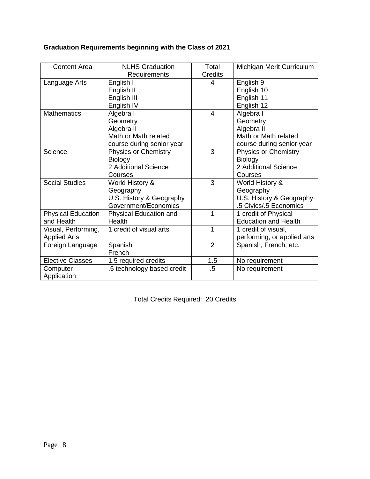# **Graduation Requirements beginning with the Class of 2021**

| <b>Content Area</b>       | <b>NLHS Graduation</b>      | Total          | Michigan Merit Curriculum   |
|---------------------------|-----------------------------|----------------|-----------------------------|
|                           | Requirements                | <b>Credits</b> |                             |
| Language Arts             | English I                   | 4              | English 9                   |
|                           | English II                  |                | English 10                  |
|                           | English III                 |                | English 11                  |
|                           | English IV                  |                | English 12                  |
| <b>Mathematics</b>        | Algebra I                   | $\overline{4}$ | Algebra I                   |
|                           | Geometry                    |                | Geometry                    |
|                           | Algebra II                  |                | Algebra II                  |
|                           | Math or Math related        |                | Math or Math related        |
|                           | course during senior year   |                | course during senior year   |
| Science                   | <b>Physics or Chemistry</b> | 3              | <b>Physics or Chemistry</b> |
|                           | <b>Biology</b>              |                | <b>Biology</b>              |
|                           | 2 Additional Science        |                | 2 Additional Science        |
|                           | Courses                     |                | Courses                     |
| <b>Social Studies</b>     | World History &             | 3              | World History &             |
|                           | Geography                   |                | Geography                   |
|                           | U.S. History & Geography    |                | U.S. History & Geography    |
|                           | Government/Economics        |                | .5 Civics/.5 Economics      |
| <b>Physical Education</b> | Physical Education and      | 1              | 1 credit of Physical        |
| and Health                | <b>Health</b>               |                | <b>Education and Health</b> |
| Visual, Performing,       | 1 credit of visual arts     | 1              | 1 credit of visual,         |
| <b>Applied Arts</b>       |                             |                | performing, or applied arts |
| Foreign Language          | Spanish                     | $\overline{2}$ | Spanish, French, etc.       |
|                           | French                      |                |                             |
| <b>Elective Classes</b>   | 1.5 required credits        | 1.5            | No requirement              |
| Computer                  | .5 technology based credit  | $.5\,$         | No requirement              |
| Application               |                             |                |                             |

Total Credits Required: 20 Credits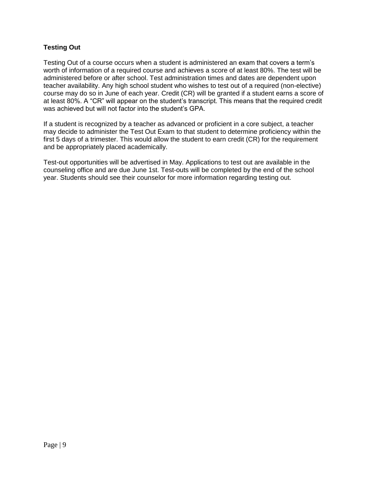# **Testing Out**

Testing Out of a course occurs when a student is administered an exam that covers a term's worth of information of a required course and achieves a score of at least 80%. The test will be administered before or after school. Test administration times and dates are dependent upon teacher availability. Any high school student who wishes to test out of a required (non-elective) course may do so in June of each year. Credit (CR) will be granted if a student earns a score of at least 80%. A "CR" will appear on the student's transcript. This means that the required credit was achieved but will not factor into the student's GPA.

If a student is recognized by a teacher as advanced or proficient in a core subject, a teacher may decide to administer the Test Out Exam to that student to determine proficiency within the first 5 days of a trimester. This would allow the student to earn credit (CR) for the requirement and be appropriately placed academically.

Test-out opportunities will be advertised in May. Applications to test out are available in the counseling office and are due June 1st. Test-outs will be completed by the end of the school year. Students should see their counselor for more information regarding testing out.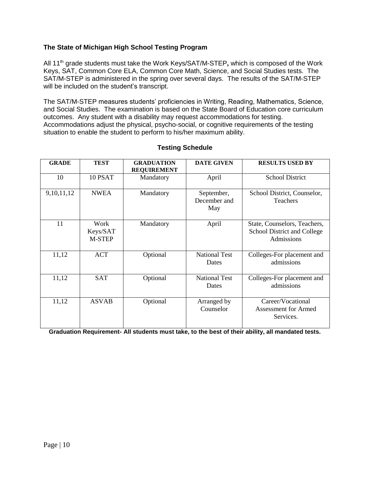# **The State of Michigan High School Testing Program**

All 11th grade students must take the Work Keys/SAT/M-STEP**,** which is composed of the Work Keys, SAT, Common Core ELA, Common Core Math, Science, and Social Studies tests. The SAT/M-STEP is administered in the spring over several days. The results of the SAT/M-STEP will be included on the student's transcript.

The SAT/M-STEP measures students' proficiencies in Writing, Reading, Mathematics, Science, and Social Studies. The examination is based on the State Board of Education core curriculum outcomes. Any student with a disability may request accommodations for testing. Accommodations adjust the physical, psycho-social, or cognitive requirements of the testing situation to enable the student to perform to his/her maximum ability.

| <b>GRADE</b>  | <b>TEST</b>                | <b>GRADUATION</b><br><b>REQUIREMENT</b> | <b>DATE GIVEN</b>                 | <b>RESULTS USED BY</b>                                                    |
|---------------|----------------------------|-----------------------------------------|-----------------------------------|---------------------------------------------------------------------------|
| 10            | 10 PSAT                    | Mandatory                               | April                             | <b>School District</b>                                                    |
| 9, 10, 11, 12 | <b>NWEA</b>                | Mandatory                               | September,<br>December and<br>May | School District, Counselor,<br>Teachers                                   |
| 11            | Work<br>Keys/SAT<br>M-STEP | Mandatory                               | April                             | State, Counselors, Teachers,<br>School District and College<br>Admissions |
| 11,12         | <b>ACT</b>                 | Optional                                | <b>National Test</b><br>Dates     | Colleges-For placement and<br>admissions                                  |
| 11,12         | <b>SAT</b>                 | Optional                                | <b>National Test</b><br>Dates     | Colleges-For placement and<br>admissions                                  |
| 11,12         | <b>ASVAB</b>               | Optional                                | Arranged by<br>Counselor          | Career/Vocational<br><b>Assessment for Armed</b><br>Services.             |

# **Testing Schedule**

**Graduation Requirement- All students must take, to the best of their ability, all mandated tests.**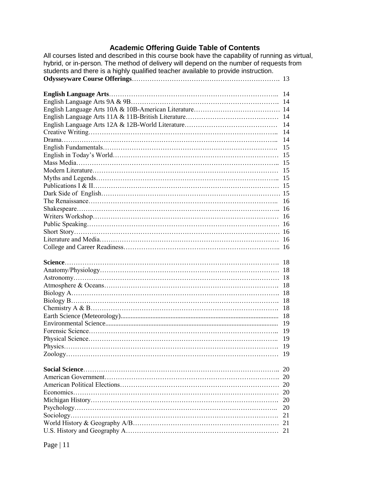# **Academic Offering Guide Table of Contents**

All courses listed and described in this course book have the capability of running as virtual, hybrid, or in-person. The method of delivery will depend on the number of requests from students and there is a highly qualified teacher available to provide instruction. **Odysseyware Course Offerings**…………………………………………………………. 13

| 19        |
|-----------|
| 19        |
| 19        |
|           |
| 20        |
|           |
|           |
| <b>20</b> |
| 20        |
| 20        |
| 21        |
| 21<br>21  |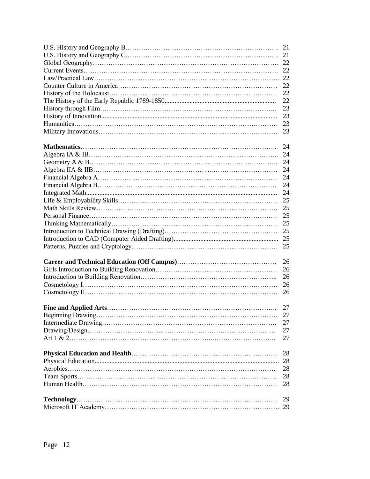| 22       |
|----------|
| 23       |
| 23       |
| 23       |
| 23       |
|          |
| 24       |
|          |
| 24       |
| 24       |
| 24       |
| 24       |
| 24       |
| 25       |
| 25       |
| 25       |
| 25       |
| 25       |
|          |
| 25       |
|          |
| 26       |
| 26       |
| 26       |
| 26       |
| 26       |
| 27       |
| 27       |
| 27       |
| 27       |
| 27       |
|          |
| 28       |
| 28       |
| 28       |
| 28       |
| 28       |
|          |
| 29<br>29 |
|          |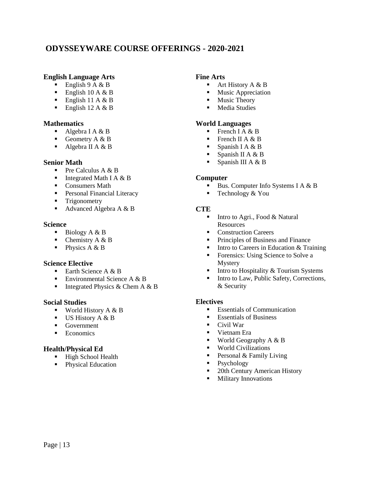# **ODYSSEYWARE COURSE OFFERINGS - 2020-2021**

# **English Language Arts**

- English  $9 A & B$
- English  $10 A & B$
- English 11 A  $&$  B
- English 12 A  $&$  B

# **Mathematics**

- Algebra I A  $&$  B
- Geometry  $A \& B$
- Algebra II A  $&$  B

# **Senior Math**

- Pre Calculus  $A \& B$
- Integrated Math I A  $&$  B
- Consumers Math
- **Personal Financial Literacy**
- **Trigonometry**
- Advanced Algebra A & B

#### **Science**

- $\blacksquare$  Biology A & B
- Chemistry  $A \& B$
- $\blacksquare$  Physics A & B

#### **Science Elective**

- Earth Science A  $&B$
- **Environmental Science A & B**
- Integrated Physics & Chem A  $&B$

#### **Social Studies**

- World History  $A \& B$
- $\blacksquare$  US History A & B
- Government
- **Economics**

# **Health/Physical Ed**

- **High School Health**
- Physical Education

# **Fine Arts**

- $\blacksquare$  Art History A & B
- **Music Appreciation**
- **Music Theory**
- **Media Studies**

# **World Languages**

- French I A  $&$  B
- French II A  $&$  B
- Spanish I A  $&$  B
- Spanish II A  $&$  B
- Spanish III A  $& B$

#### **Computer**

- Bus. Computer Info Systems I A  $&B$
- **Technology & You**

#### **CTE**

- $\blacksquare$  Intro to Agri., Food & Natural Resources
- Construction Careers
- **Principles of Business and Finance**
- $\blacksquare$  Intro to Careers in Education & Training
- **Forensics:** Using Science to Solve a Mystery
- Intro to Hospitality & Tourism Systems
- Intro to Law, Public Safety, Corrections, & Security

#### **Electives**

- Essentials of Communication
- Essentials of Business
- $\blacksquare$  Civil War
- Vietnam Era
- World Geography  $A \& B$
- **World Civilizations**
- Personal  $&$  Family Living
- Psychology
- 20th Century American History<br>• Military Innovations
- Military Innovations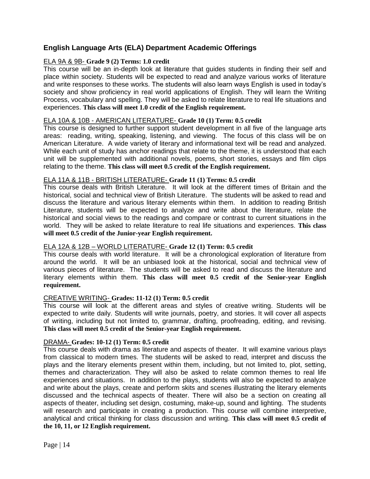# **English Language Arts (ELA) Department Academic Offerings**

# ELA 9A & 9B- **Grade 9 (2) Terms: 1.0 credit**

This course will be an in-depth look at literature that guides students in finding their self and place within society. Students will be expected to read and analyze various works of literature and write responses to these works. The students will also learn ways English is used in today's society and show proficiency in real world applications of English. They will learn the Writing Process, vocabulary and spelling. They will be asked to relate literature to real life situations and experiences. **This class will meet 1.0 credit of the English requirement.**

# ELA 10A & 10B - AMERICAN LITERATURE- **Grade 10 (1) Term: 0.5 credit**

This course is designed to further support student development in all five of the language arts areas: reading, writing, speaking, listening, and viewing. The focus of this class will be on American Literature. A wide variety of literary and informational text will be read and analyzed. While each unit of study has anchor readings that relate to the theme, it is understood that each unit will be supplemented with additional novels, poems, short stories, essays and film clips relating to the theme. **This class will meet 0.5 credit of the English requirement.** 

# ELA 11A & 11B - BRITISH LITERATURE- **Grade 11 (1) Terms: 0.5 credit**

This course deals with British Literature. It will look at the different times of Britain and the historical, social and technical view of British Literature. The students will be asked to read and discuss the literature and various literary elements within them. In addition to reading British Literature, students will be expected to analyze and write about the literature, relate the historical and social views to the readings and compare or contrast to current situations in the world. They will be asked to relate literature to real life situations and experiences. **This class will meet 0.5 credit of the Junior-year English requirement.** 

# ELA 12A & 12B – WORLD LITERATURE- **Grade 12 (1) Term: 0.5 credit**

This course deals with world literature. It will be a chronological exploration of literature from around the world. It will be an unbiased look at the historical, social and technical view of various pieces of literature. The students will be asked to read and discuss the literature and literary elements within them. **This class will meet 0.5 credit of the Senior-year English requirement.**

#### CREATIVE WRITING- **Grades: 11-12 (1) Term: 0.5 credit**

This course will look at the different areas and styles of creative writing. Students will be expected to write daily. Students will write journals, poetry, and stories. It will cover all aspects of writing, including but not limited to, grammar, drafting, proofreading, editing, and revising. **This class will meet 0.5 credit of the Senior-year English requirement.**

# DRAMA- **Grades: 10-12 (1) Term: 0.5 credit**

This course deals with drama as literature and aspects of theater. It will examine various plays from classical to modern times. The students will be asked to read, interpret and discuss the plays and the literary elements present within them, including, but not limited to, plot, setting, themes and characterization. They will also be asked to relate common themes to real life experiences and situations. In addition to the plays, students will also be expected to analyze and write about the plays, create and perform skits and scenes illustrating the literary elements discussed and the technical aspects of theater. There will also be a section on creating all aspects of theater, including set design, costuming, make-up, sound and lighting. The students will research and participate in creating a production. This course will combine interpretive, analytical and critical thinking for class discussion and writing. **This class will meet 0.5 credit of the 10, 11, or 12 English requirement.**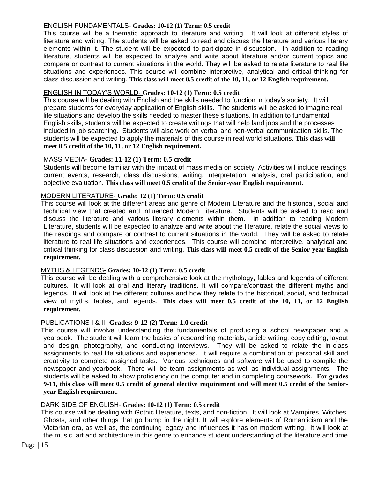# ENGLISH FUNDAMENTALS- **Grades: 10-12 (1) Term: 0.5 credit**

This course will be a thematic approach to literature and writing. It will look at different styles of literature and writing. The students will be asked to read and discuss the literature and various literary elements within it. The student will be expected to participate in discussion. In addition to reading literature, students will be expected to analyze and write about literature and/or current topics and compare or contrast to current situations in the world. They will be asked to relate literature to real life situations and experiences. This course will combine interpretive, analytical and critical thinking for class discussion and writing. **This class will meet 0.5 credit of the 10, 11, or 12 English requirement.**

# ENGLISH IN TODAY'S WORLD- **Grades: 10-12 (1) Term: 0.5 credit**

This course will be dealing with English and the skills needed to function in today's society. It will prepare students for everyday application of English skills. The students will be asked to imagine real life situations and develop the skills needed to master these situations. In addition to fundamental English skills, students will be expected to create writings that will help land jobs and the processes included in job searching. Students will also work on verbal and non-verbal communication skills. The students will be expected to apply the materials of this course in real world situations. **This class will meet 0.5 credit of the 10, 11, or 12 English requirement.**

# MASS MEDIA- **Grades: 11-12 (1) Term: 0.5 credit**

Students will become familiar with the impact of mass media on society. Activities will include readings, current events, research, class discussions, writing, interpretation, analysis, oral participation, and objective evaluation. **This class will meet 0.5 credit of the Senior-year English requirement.**

# MODERN LITERATURE- **Grade: 12 (1) Term: 0.5 credit**

This course will look at the different areas and genre of Modern Literature and the historical, social and technical view that created and influenced Modern Literature. Students will be asked to read and discuss the literature and various literary elements within them. In addition to reading Modern Literature, students will be expected to analyze and write about the literature, relate the social views to the readings and compare or contrast to current situations in the world. They will be asked to relate literature to real life situations and experiences. This course will combine interpretive, analytical and critical thinking for class discussion and writing. **This class will meet 0.5 credit of the Senior-year English requirement.**

#### MYTHS & LEGENDS- **Grades: 10-12 (1) Term: 0.5 credit**

This course will be dealing with a comprehensive look at the mythology, fables and legends of different cultures. It will look at oral and literary traditions. It will compare/contrast the different myths and legends. It will look at the different cultures and how they relate to the historical, social, and technical view of myths, fables, and legends. **This class will meet 0.5 credit of the 10, 11, or 12 English requirement.**

#### PUBLICATIONS I & II- **Grades: 9-12 (2) Term: 1.0 credit**

This course will involve understanding the fundamentals of producing a school newspaper and a yearbook. The student will learn the basics of researching materials, article writing, copy editing, layout and design, photography, and conducting interviews. They will be asked to relate the in-class assignments to real life situations and experiences. It will require a combination of personal skill and creativity to complete assigned tasks. Various techniques and software will be used to compile the newspaper and yearbook. There will be team assignments as well as individual assignments. The students will be asked to show proficiency on the computer and in completing coursework. **For grades 9-11, this class will meet 0.5 credit of general elective requirement and will meet 0.5 credit of the Senioryear English requirement.** 

#### DARK SIDE OF ENGLISH- **Grades: 10-12 (1) Term: 0.5 credit**

This course will be dealing with Gothic literature, texts, and non-fiction. It will look at Vampires, Witches, Ghosts, and other things that go bump in the night. It will explore elements of Romanticism and the Victorian era, as well as, the continuing legacy and influences it has on modern writing. It will look at the music, art and architecture in this genre to enhance student understanding of the literature and time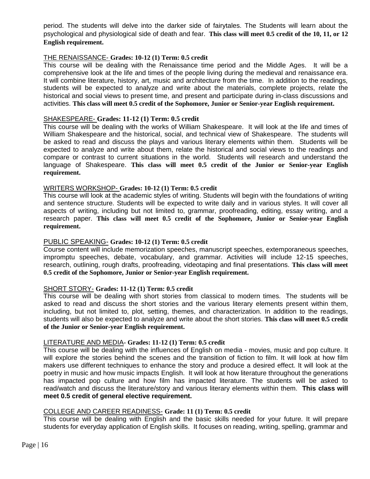period. The students will delve into the darker side of fairytales. The Students will learn about the psychological and physiological side of death and fear. **This class will meet 0.5 credit of the 10, 11, or 12 English requirement.**

# THE RENAISSANCE- **Grades: 10-12 (1) Term: 0.5 credit**

This course will be dealing with the Renaissance time period and the Middle Ages. It will be a comprehensive look at the life and times of the people living during the medieval and renaissance era. It will combine literature, history, art, music and architecture from the time. In addition to the readings, students will be expected to analyze and write about the materials, complete projects, relate the historical and social views to present time, and present and participate during in-class discussions and activities. **This class will meet 0.5 credit of the Sophomore, Junior or Senior-year English requirement.**

# SHAKESPEARE- **Grades: 11-12 (1) Term: 0.5 credit**

This course will be dealing with the works of William Shakespeare. It will look at the life and times of William Shakespeare and the historical, social, and technical view of Shakespeare. The students will be asked to read and discuss the plays and various literary elements within them. Students will be expected to analyze and write about them, relate the historical and social views to the readings and compare or contrast to current situations in the world. Students will research and understand the language of Shakespeare. **This class will meet 0.5 credit of the Junior or Senior-year English requirement.**

# WRITERS WORKSHOP- **Grades: 10-12 (1) Term: 0.5 credit**

This course will look at the academic styles of writing. Students will begin with the foundations of writing and sentence structure. Students will be expected to write daily and in various styles. It will cover all aspects of writing, including but not limited to, grammar, proofreading, editing, essay writing, and a research paper. **This class will meet 0.5 credit of the Sophomore, Junior or Senior-year English requirement.** 

#### PUBLIC SPEAKING- **Grades: 10-12 (1) Term: 0.5 credit**

Course content will include memorization speeches, manuscript speeches, extemporaneous speeches, impromptu speeches, debate, vocabulary, and grammar. Activities will include 12-15 speeches, research, outlining, rough drafts, proofreading, videotaping and final presentations. **This class will meet 0.5 credit of the Sophomore, Junior or Senior-year English requirement.** 

#### SHORT STORY- **Grades: 11-12 (1) Term: 0.5 credit**

This course will be dealing with short stories from classical to modern times. The students will be asked to read and discuss the short stories and the various literary elements present within them, including, but not limited to, plot, setting, themes, and characterization. In addition to the readings, students will also be expected to analyze and write about the short stories. **This class will meet 0.5 credit of the Junior or Senior-year English requirement.** 

#### LITERATURE AND MEDIA**- Grades: 11-12 (1) Term: 0.5 credit**

This course will be dealing with the influences of English on media - movies, music and pop culture. It will explore the stories behind the scenes and the transition of fiction to film. It will look at how film makers use different techniques to enhance the story and produce a desired effect. It will look at the poetry in music and how music impacts English. It will look at how literature throughout the generations has impacted pop culture and how film has impacted literature. The students will be asked to read/watch and discuss the literature/story and various literary elements within them. **This class will meet 0.5 credit of general elective requirement.** 

# COLLEGE AND CAREER READINESS- **Grade: 11 (1) Term: 0.5 credit**

This course will be dealing with English and the basic skills needed for your future. It will prepare students for everyday application of English skills. It focuses on reading, writing, spelling, grammar and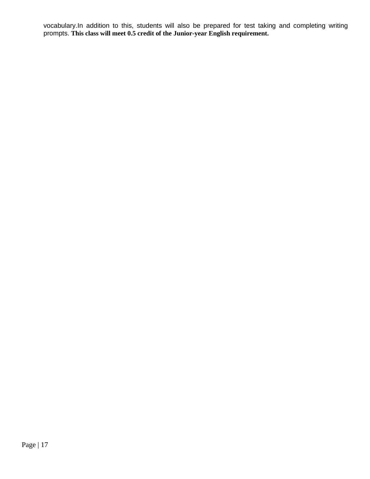vocabulary.In addition to this, students will also be prepared for test taking and completing writing prompts. **This class will meet 0.5 credit of the Junior-year English requirement.**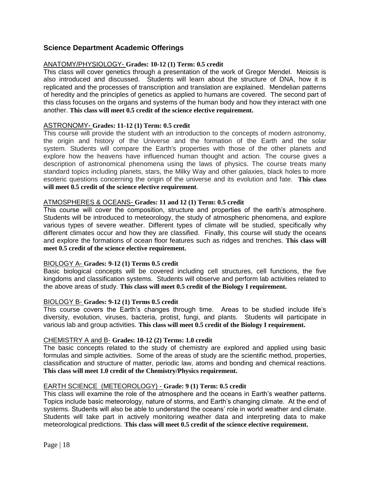# **Science Department Academic Offerings**

# ANATOMY/PHYSIOLOGY- **Grades: 10-12 (1) Term: 0.5 credit**

This class will cover genetics through a presentation of the work of Gregor Mendel. Meiosis is also introduced and discussed. Students will learn about the structure of DNA, how it is replicated and the processes of transcription and translation are explained. Mendelian patterns of heredity and the principles of genetics as applied to humans are covered. The second part of this class focuses on the organs and systems of the human body and how they interact with one another. **This class will meet 0.5 credit of the science elective requirement.**

# ASTRONOMY- **Grades: 11-12 (1) Term: 0.5 credit**

This course will provide the student with an introduction to the concepts of modern astronomy, the origin and history of the Universe and the formation of the Earth and the solar system. Students will compare the Earth's properties with those of the other planets and explore how the heavens have influenced human thought and action. The course gives a description of astronomical phenomena using the laws of physics. The course treats many standard topics including planets, stars, the Milky Way and other galaxies, black holes to more esoteric questions concerning the origin of the universe and its evolution and fate. **This class will meet 0.5 credit of the science elective requirement**.

# ATMOSPHERES & OCEANS- **Grades: 11 and 12 (1) Term: 0.5 credit**

This course will cover the composition, structure and properties of the earth's atmosphere. Students will be introduced to meteorology, the study of atmospheric phenomena, and explore various types of severe weather. Different types of climate will be studied, specifically why different climates occur and how they are classified. Finally, this course will study the oceans and explore the formations of ocean floor features such as ridges and trenches. **This class will meet 0.5 credit of the science elective requirement.**

#### BIOLOGY A- **Grades: 9-12 (1) Terms 0.5 credit**

Basic biological concepts will be covered including cell structures, cell functions, the five kingdoms and classification systems. Students will observe and perform lab activities related to the above areas of study. **This class will meet 0.5 credit of the Biology I requirement.** 

#### BIOLOGY B- **Grades: 9-12 (1) Terms 0.5 credit**

This course covers the Earth's changes through time. Areas to be studied include life's diversity, evolution, viruses, bacteria, protist, fungi, and plants. Students will participate in various lab and group activities. **This class will meet 0.5 credit of the Biology I requirement.** 

#### CHEMISTRY A and B- **Grades: 10-12 (2) Terms: 1.0 credit**

The basic concepts related to the study of chemistry are explored and applied using basic formulas and simple activities. Some of the areas of study are the scientific method, properties, classification and structure of matter, periodic law, atoms and bonding and chemical reactions. **This class will meet 1.0 credit of the Chemistry/Physics requirement.**

#### EARTH SCIENCE (METEOROLOGY) - **Grade: 9 (1) Term: 0.5 credit**

This class will examine the role of the atmosphere and the oceans in Earth's weather patterns. Topics include basic meteorology, nature of storms, and Earth's changing climate. At the end of systems. Students will also be able to understand the oceans' role in world weather and climate. Students will take part in actively monitoring weather data and interpreting data to make meteorological predictions. **This class will meet 0.5 credit of the science elective requirement.**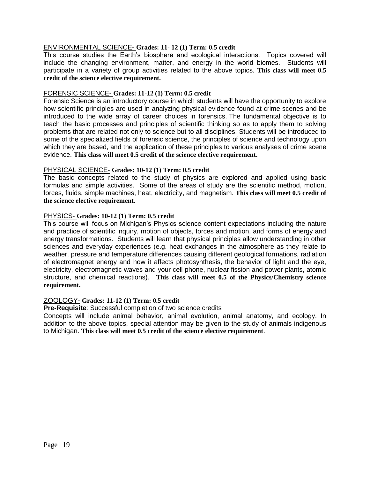# ENVIRONMENTAL SCIENCE- **Grades: 11- 12 (1) Term: 0.5 credit**

This course studies the Earth's biosphere and ecological interactions. Topics covered will include the changing environment, matter, and energy in the world biomes. Students will participate in a variety of group activities related to the above topics. **This class will meet 0.5 credit of the science elective requirement.**

#### FORENSIC SCIENCE- **Grades: 11-12 (1) Term: 0.5 credit**

Forensic Science is an introductory course in which students will have the opportunity to explore how scientific principles are used in analyzing physical evidence found at crime scenes and be introduced to the wide array of career choices in forensics. The fundamental objective is to teach the basic processes and principles of scientific thinking so as to apply them to solving problems that are related not only to science but to all disciplines. Students will be introduced to some of the specialized fields of forensic science, the principles of science and technology upon which they are based, and the application of these principles to various analyses of crime scene evidence. **This class will meet 0.5 credit of the science elective requirement.** 

#### PHYSICAL SCIENCE- **Grades: 10-12 (1) Term: 0.5 credit**

The basic concepts related to the study of physics are explored and applied using basic formulas and simple activities. Some of the areas of study are the scientific method, motion, forces, fluids, simple machines, heat, electricity, and magnetism. **This class will meet 0.5 credit of the science elective requirement**.

# PHYSICS- **Grades: 10-12 (1) Term: 0.5 credit**

This course will focus on Michigan's Physics science content expectations including the nature and practice of scientific inquiry, motion of objects, forces and motion, and forms of energy and energy transformations. Students will learn that physical principles allow understanding in other sciences and everyday experiences (e.g. heat exchanges in the atmosphere as they relate to weather, pressure and temperature differences causing different geological formations, radiation of electromagnet energy and how it affects photosynthesis, the behavior of light and the eye, electricity, electromagnetic waves and your cell phone, nuclear fission and power plants, atomic structure, and chemical reactions). **This class will meet 0.5 of the Physics/Chemistry science requirement.**

#### ZOOLOGY- **Grades: 11-12 (1) Term: 0.5 credit**

**Pre-Requisite**: Successful completion of two science credits

Concepts will include animal behavior, animal evolution, animal anatomy, and ecology. In addition to the above topics, special attention may be given to the study of animals indigenous to Michigan. **This class will meet 0.5 credit of the science elective requirement**.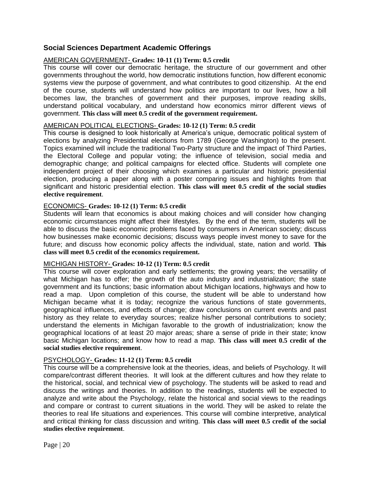# **Social Sciences Department Academic Offerings**

# AMERICAN GOVERNMENT- **Grades: 10-11 (1) Term: 0.5 credit**

This course will cover our democratic heritage, the structure of our government and other governments throughout the world, how democratic institutions function, how different economic systems view the purpose of government, and what contributes to good citizenship. At the end of the course, students will understand how politics are important to our lives, how a bill becomes law, the branches of government and their purposes, improve reading skills, understand political vocabulary, and understand how economics mirror different views of government. **This class will meet 0.5 credit of the government requirement.** 

#### AMERICAN POLITICAL ELECTIONS- **Grades: 10-12 (1) Term: 0.5 credit**

This course is designed to look historically at America's unique, democratic political system of elections by analyzing Presidential elections from 1789 (George Washington) to the present. Topics examined will include the traditional Two-Party structure and the impact of Third Parties, the Electoral College and popular voting; the influence of television, social media and demographic change; and political campaigns for elected office. Students will complete one independent project of their choosing which examines a particular and historic presidential election, producing a paper along with a poster comparing issues and highlights from that significant and historic presidential election. **This class will meet 0.5 credit of the social studies elective requirement**.

#### ECONOMICS- **Grades: 10-12 (1) Term: 0.5 credit**

Students will learn that economics is about making choices and will consider how changing economic circumstances might affect their lifestyles. By the end of the term, students will be able to discuss the basic economic problems faced by consumers in American society; discuss how businesses make economic decisions; discuss ways people invest money to save for the future; and discuss how economic policy affects the individual, state, nation and world. **This class will meet 0.5 credit of the economics requirement.**

#### MICHIGAN HISTORY- **Grades: 10-12 (1) Term: 0.5 credit**

This course will cover exploration and early settlements; the growing years; the versatility of what Michigan has to offer; the growth of the auto industry and industrialization; the state government and its functions; basic information about Michigan locations, highways and how to read a map. Upon completion of this course, the student will be able to understand how Michigan became what it is today; recognize the various functions of state governments, geographical influences, and effects of change; draw conclusions on current events and past history as they relate to everyday sources; realize his/her personal contributions to society; understand the elements in Michigan favorable to the growth of industrialization; know the geographical locations of at least 20 major areas; share a sense of pride in their state; know basic Michigan locations; and know how to read a map. **This class will meet 0.5 credit of the social studies elective requirement**.

#### PSYCHOLOGY- **Grades: 11-12 (1) Term: 0.5 credit**

This course will be a comprehensive look at the theories, ideas, and beliefs of Psychology. It will compare/contrast different theories. It will look at the different cultures and how they relate to the historical, social, and technical view of psychology. The students will be asked to read and discuss the writings and theories. In addition to the readings, students will be expected to analyze and write about the Psychology, relate the historical and social views to the readings and compare or contrast to current situations in the world. They will be asked to relate the theories to real life situations and experiences. This course will combine interpretive, analytical and critical thinking for class discussion and writing. **This class will meet 0.5 credit of the social studies elective requirement**.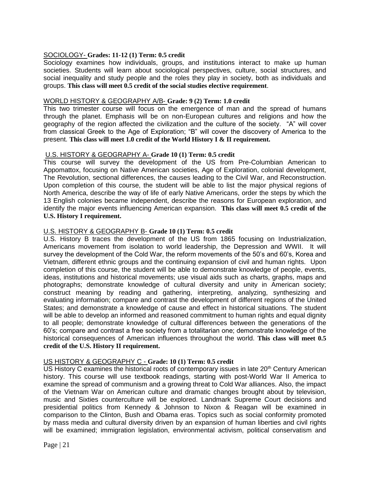# SOCIOLOGY- **Grades: 11-12 (1) Term: 0.5 credit**

Sociology examines how individuals, groups, and institutions interact to make up human societies. Students will learn about sociological perspectives, culture, social structures, and social inequality and study people and the roles they play in society, both as individuals and groups. **This class will meet 0.5 credit of the social studies elective requirement**.

#### WORLD HISTORY & GEOGRAPHY A/B- **Grade: 9 (2) Term: 1.0 credit**

This two trimester course will focus on the emergence of man and the spread of humans through the planet. Emphasis will be on non-European cultures and religions and how the geography of the region affected the civilization and the culture of the society. "A" will cover from classical Greek to the Age of Exploration; "B" will cover the discovery of America to the present. **This class will meet 1.0 credit of the World History I & II requirement.**

# U.S. HISTORY & GEOGRAPHY A- **Grade 10 (1) Term: 0.5 credit**

This course will survey the development of the US from Pre-Columbian American to Appomattox, focusing on Native American societies, Age of Exploration, colonial development, The Revolution, sectional differences, the causes leading to the Civil War, and Reconstruction. Upon completion of this course, the student will be able to list the major physical regions of North America, describe the way of life of early Native Americans, order the steps by which the 13 English colonies became independent, describe the reasons for European exploration, and identify the major events influencing American expansion. **This class will meet 0.5 credit of the U.S. History I requirement.**

# U.S. HISTORY & GEOGRAPHY B- **Grade 10 (1) Term: 0.5 credit**

U.S. History B traces the development of the US from 1865 focusing on Industrialization, Americans movement from isolation to world leadership, the Depression and WWII. It will survey the development of the Cold War, the reform movements of the 50's and 60's, Korea and Vietnam, different ethnic groups and the continuing expansion of civil and human rights. Upon completion of this course, the student will be able to demonstrate knowledge of people, events, ideas, institutions and historical movements; use visual aids such as charts, graphs, maps and photographs; demonstrate knowledge of cultural diversity and unity in American society; construct meaning by reading and gathering, interpreting, analyzing, synthesizing and evaluating information; compare and contrast the development of different regions of the United States; and demonstrate a knowledge of cause and effect in historical situations. The student will be able to develop an informed and reasoned commitment to human rights and equal dignity to all people; demonstrate knowledge of cultural differences between the generations of the 60's; compare and contrast a free society from a totalitarian one; demonstrate knowledge of the historical consequences of American influences throughout the world. **This class will meet 0.5 credit of the U.S. History II requirement.**

# US HISTORY & GEOGRAPHY C - **Grade: 10 (1) Term: 0.5 credit**

US History C examines the historical roots of contemporary issues in late 20<sup>th</sup> Century American history. This course will use textbook readings, starting with post-World War II America to examine the spread of communism and a growing threat to Cold War alliances. Also, the impact of the Vietnam War on American culture and dramatic changes brought about by television, music and Sixties counterculture will be explored. Landmark Supreme Court decisions and presidential politics from Kennedy & Johnson to Nixon & Reagan will be examined in comparison to the Clinton, Bush and Obama eras. Topics such as social conformity promoted by mass media and cultural diversity driven by an expansion of human liberties and civil rights will be examined; immigration legislation, environmental activism, political conservatism and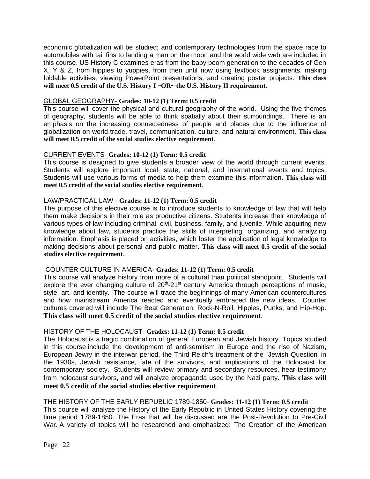economic globalization will be studied; and contemporary technologies from the space race to automobiles with tail fins to landing a man on the moon and the world wide web are included in this course. US History C examines eras from the baby boom generation to the decades of Gen X, Y & Z, from hippies to yuppies, from then until now using textbook assignments, making foldable activities, viewing PowerPoint presentations, and creating poster projects. **This class will meet 0.5 credit of the U.S. History I ~OR~ the U.S. History II requirement**.

#### GLOBAL GEOGRAPHY- **Grades: 10-12 (1) Term: 0.5 credit**

This course will cover the physical and cultural geography of the world. Using the five themes of geography, students will be able to think spatially about their surroundings. There is an emphasis on the increasing connectedness of people and places due to the influence of globalization on world trade, travel, communication, culture, and natural environment. **This class will meet 0.5 credit of the social studies elective requirement**.

# CURRENT EVENTS- **Grades: 10-12 (1) Term: 0.5 credit**

This course is designed to give students a broader view of the world through current events. Students will explore important local, state, national, and international events and topics. Students will use various forms of media to help them examine this information. **This class will meet 0.5 credit of the social studies elective requirement**.

# LAW/PRACTICAL LAW - **Grades: 11-12 (1) Term: 0.5 credit**

The purpose of this elective course is to introduce students to knowledge of law that will help them make decisions in their role as productive citizens. Students increase their knowledge of various types of law including criminal, civil, business, family, and juvenile. While acquiring new knowledge about law, students practice the skills of interpreting, organizing, and analyzing information. Emphasis is placed on activities, which foster the application of legal knowledge to making decisions about personal and public matter. **This class will meet 0.5 credit of the social studies elective requirement**.

# COUNTER CULTURE IN AMERICA- **Grades: 11-12 (1) Term: 0.5 credit**

This course will analyze history from more of a cultural than political standpoint. Students will explore the ever changing culture of  $20<sup>th</sup>$ -21<sup>st</sup> century America through perceptions of music, style, art, and identity. The course will trace the beginnings of many American countercultures and how mainstream America reacted and eventually embraced the new ideas. Counter cultures covered will include The Beat Generation, Rock-N-Roll, Hippies, Punks, and Hip-Hop. **This class will meet 0.5 credit of the social studies elective requirement**.

#### HISTORY OF THE HOLOCAUST- **Grades: 11-12 (1) Term: 0.5 credit**

The Holocaust is a tragic combination of general European and Jewish history. Topics studied in this course include the development of anti-semitism in Europe and the rise of Nazism, European Jewry in the interwar period, the Third Reich's treatment of the `Jewish Question' in the 1930s, Jewish resistance, fate of the survivors, and implications of the Holocaust for contemporary society. Students will review primary and secondary resources, hear testimony from holocaust survivors, and will analyze propaganda used by the Nazi party. **This class will meet 0.5 credit of the social studies elective requirement**.

#### THE HISTORY OF THE EARLY REPUBLIC 1789-1850- **Grades: 11-12 (1) Term: 0.5 credit**

This course will analyze the History of the Early Republic in United States History covering the time period 1789-1850. The Eras that will be discussed are the Post-Revolution to Pre-Civil War. A variety of topics will be researched and emphasized: The Creation of the American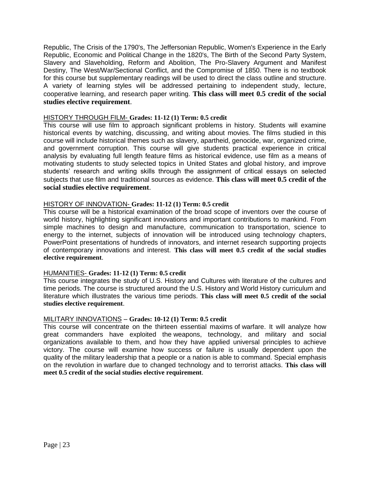Republic, The Crisis of the 1790's, The Jeffersonian Republic, Women's Experience in the Early Republic, Economic and Political Change in the 1820's, The Birth of the Second Party System, Slavery and Slaveholding, Reform and Abolition, The Pro-Slavery Argument and Manifest Destiny, The West/War/Sectional Conflict, and the Compromise of 1850. There is no textbook for this course but supplementary readings will be used to direct the class outline and structure. A variety of learning styles will be addressed pertaining to independent study, lecture, cooperative learning, and research paper writing. **This class will meet 0.5 credit of the social studies elective requirement**.

# HISTORY THROUGH FILM- **Grades: 11-12 (1) Term: 0.5 credit**

This course will use film to approach significant problems in history. Students will examine historical events by watching, discussing, and writing about movies. The films studied in this course will include historical themes such as slavery, apartheid, genocide, war, organized crime, and government corruption. This course will give students practical experience in critical analysis by evaluating full length feature films as historical evidence, use film as a means of motivating students to study selected topics in United States and global history, and improve students' research and writing skills through the assignment of critical essays on selected subjects that use film and traditional sources as evidence. **This class will meet 0.5 credit of the social studies elective requirement**.

# HISTORY OF INNOVATION- **Grades: 11-12 (1) Term: 0.5 credit**

This course will be a historical examination of the broad scope of inventors over the course of world history, highlighting significant innovations and important contributions to mankind. From simple machines to design and manufacture, communication to transportation, science to energy to the internet, subjects of innovation will be introduced using technology chapters, PowerPoint presentations of hundreds of innovators, and internet research supporting projects of contemporary innovations and interest. **This class will meet 0.5 credit of the social studies elective requirement**.

#### HUMANITIES- **Grades: 11-12 (1) Term: 0.5 credit**

This course integrates the study of U.S. History and Cultures with literature of the cultures and time periods. The course is structured around the U.S. History and World History curriculum and literature which illustrates the various time periods. **This class will meet 0.5 credit of the social studies elective requirement**.

#### MILITARY INNOVATIONS – **Grades: 10-12 (1) Term: 0.5 credit**

This course will concentrate on the thirteen essential maxims of warfare. It will analyze how great commanders have exploited the weapons, technology, and military and social organizations available to them, and how they have applied universal principles to achieve victory. The course will examine how success or failure is usually dependent upon the quality of the military leadership that a people or a nation is able to command. Special emphasis on the revolution in warfare due to changed technology and to terrorist attacks. **This class will meet 0.5 credit of the social studies elective requirement**.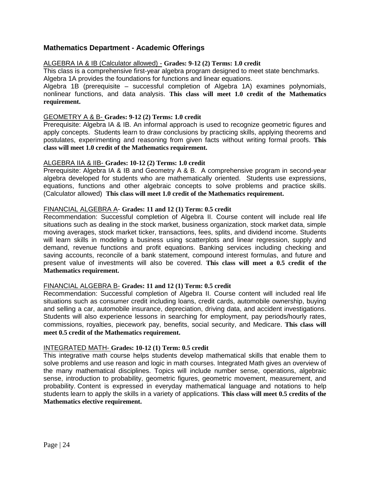# **Mathematics Department - Academic Offerings**

#### ALGEBRA IA & IB (Calculator allowed) - **Grades: 9-12 (2) Terms: 1.0 credit**

This class is a comprehensive first-year algebra program designed to meet state benchmarks. Algebra 1A provides the foundations for functions and linear equations.

Algebra 1B (prerequisite – successful completion of Algebra 1A) examines polynomials, nonlinear functions, and data analysis. **This class will meet 1.0 credit of the Mathematics requirement.** 

#### GEOMETRY A & B- **Grades: 9-12 (2) Terms: 1.0 credit**

Prerequisite: Algebra IA & IB. An informal approach is used to recognize geometric figures and apply concepts. Students learn to draw conclusions by practicing skills, applying theorems and postulates, experimenting and reasoning from given facts without writing formal proofs. **This class will meet 1.0 credit of the Mathematics requirement.** 

#### ALGEBRA IIA & IIB- **Grades: 10-12 (2) Terms: 1.0 credit**

Prerequisite: Algebra IA & IB and Geometry A & B. A comprehensive program in second-year algebra developed for students who are mathematically oriented. Students use expressions, equations, functions and other algebraic concepts to solve problems and practice skills. (Calculator allowed) **This class will meet 1.0 credit of the Mathematics requirement.** 

#### FINANCIAL ALGEBRA A- **Grades: 11 and 12 (1) Term: 0.5 credit**

Recommendation: Successful completion of Algebra II. Course content will include real life situations such as dealing in the stock market, business organization, stock market data, simple moving averages, stock market ticker, transactions, fees, splits, and dividend income. Students will learn skills in modeling a business using scatterplots and linear regression, supply and demand, revenue functions and profit equations. Banking services including checking and saving accounts, reconcile of a bank statement, compound interest formulas, and future and present value of investments will also be covered. **This class will meet a 0.5 credit of the Mathematics requirement.** 

#### FINANCIAL ALGEBRA B- **Grades: 11 and 12 (1) Term: 0.5 credit**

Recommendation: Successful completion of Algebra II. Course content will included real life situations such as consumer credit including loans, credit cards, automobile ownership, buying and selling a car, automobile insurance, depreciation, driving data, and accident investigations. Students will also experience lessons in searching for employment, pay periods/hourly rates, commissions, royalties, piecework pay, benefits, social security, and Medicare. **This class will meet 0.5 credit of the Mathematics requirement.** 

#### INTEGRATED MATH- **Grades: 10-12 (1) Term: 0.5 credit**

This integrative math course helps students develop mathematical skills that enable them to solve problems and use reason and logic in math courses. Integrated Math gives an overview of the many mathematical disciplines. Topics will include number sense, operations, algebraic sense, introduction to probability, geometric figures, geometric movement, measurement, and probability. Content is expressed in everyday mathematical language and notations to help students learn to apply the skills in a variety of applications. **This class will meet 0.5 credits of the Mathematics elective requirement.**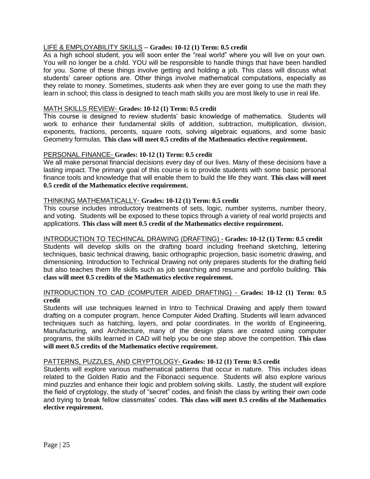# LIFE & EMPLOYABILITY SKILLS – **Grades: 10-12 (1) Term: 0.5 credit**

As a high school student, you will soon enter the "real world" where you will live on your own. You will no longer be a child. YOU will be responsible to handle things that have been handled for you. Some of these things involve getting and holding a job. This class will discuss what students' career options are. Other things involve mathematical computations, especially as they relate to money. Sometimes, students ask when they are ever going to use the math they learn in school; this class is designed to teach math skills you are most likely to use in real life.

#### MATH SKILLS REVIEW- **Grades: 10-12 (1) Term: 0.5 credit**

This course is designed to review students' basic knowledge of mathematics. Students will work to enhance their fundamental skills of addition, subtraction, multiplication, division, exponents, fractions, percents, square roots, solving algebraic equations, and some basic Geometry formulas. **This class will meet 0.5 credits of the Mathematics elective requirement.**

#### PERSONAL FINANCE- **Grades: 10-12 (1) Term: 0.5 credit**

We all make personal financial decisions every day of our lives. Many of these decisions have a lasting impact. The primary goal of this course is to provide students with some basic personal finance tools and knowledge that will enable them to build the life they want. **This class will meet 0.5 credit of the Mathematics elective requirement.**

#### THINKING MATHEMATICALLY- **Grades: 10-12 (1) Term: 0.5 credit**

This course includes introductory treatments of sets, logic, number systems, number theory, and voting. Students will be exposed to these topics through a variety of real world projects and applications. **This class will meet 0.5 credit of the Mathematics elective requirement.**

#### INTRODUCTION TO TECHINCAL DRAWING (DRAFTING) - **Grades: 10-12 (1) Term: 0.5 credit**

Students will develop skills on the drafting board including freehand sketching, lettering techniques, basic technical drawing, basic orthographic projection, basic isometric drawing, and dimensioning. Introduction to Technical Drawing not only prepares students for the drafting field but also teaches them life skills such as job searching and resume and portfolio building. **This class will meet 0.5 credits of the Mathematics elective requirement.**

# INTRODUCTION TO CAD (COMPUTER AIDED DRAFTING) - **Grades: 10-12 (1) Term: 0.5 credit**

Students will use techniques learned in Intro to Technical Drawing and apply them toward drafting on a computer program, hence Computer Aided Drafting. Students will learn advanced techniques such as hatching, layers, and polar coordinates. In the worlds of Engineering, Manufacturing, and Architecture, many of the design plans are created using computer programs, the skills learned in CAD will help you be one step above the competition. **This class will meet 0.5 credits of the Mathematics elective requirement.** 

#### PATTERNS, PUZZLES, AND CRYPTOLOGY- **Grades: 10-12 (1) Term: 0.5 credit**

Students will explore various mathematical patterns that occur in nature. This includes ideas related to the Golden Ratio and the Fibonacci sequence. Students will also explore various mind puzzles and enhance their logic and problem solving skills. Lastly, the student will explore the field of cryptology, the study of "secret" codes, and finish the class by writing their own code and trying to break fellow classmates' codes. **This class will meet 0.5 credits of the Mathematics elective requirement.**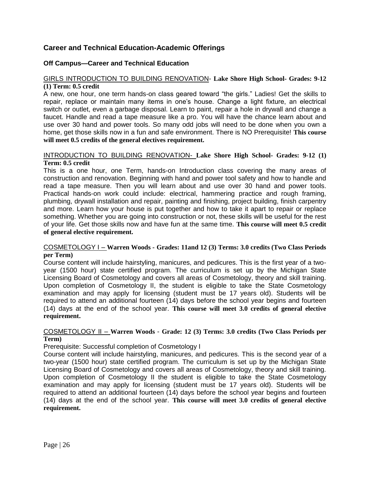# **Career and Technical Education-Academic Offerings**

# **Off Campus—Career and Technical Education**

# GIRLS INTRODUCTION TO BUILDING RENOVATION- **Lake Shore High School- Grades: 9-12 (1) Term: 0.5 credit**

A new, one hour, one term hands-on class geared toward "the girls." Ladies! Get the skills to repair, replace or maintain many items in one's house. Change a light fixture, an electrical switch or outlet, even a garbage disposal. Learn to paint, repair a hole in drywall and change a faucet. Handle and read a tape measure like a pro. You will have the chance learn about and use over 30 hand and power tools. So many odd jobs will need to be done when you own a home, get those skills now in a fun and safe environment. There is NO Prerequisite! **This course will meet 0.5 credits of the general electives requirement.** 

#### INTRODUCTION TO BUILDING RENOVATION- **Lake Shore High School- Grades: 9-12 (1) Term: 0.5 credit**

This is a one hour, one Term, hands-on Introduction class covering the many areas of construction and renovation. Beginning with hand and power tool safety and how to handle and read a tape measure. Then you will learn about and use over 30 hand and power tools. Practical hands-on work could include: electrical, hammering practice and rough framing, plumbing, drywall installation and repair, painting and finishing, project building, finish carpentry and more. Learn how your house is put together and how to take it apart to repair or replace something. Whether you are going into construction or not, these skills will be useful for the rest of your life. Get those skills now and have fun at the same time. **This course will meet 0.5 credit of general elective requirement.**

#### COSMETOLOGY I – **Warren Woods - Grades: 11and 12 (3) Terms: 3.0 credits (Two Class Periods per Term)**

Course content will include hairstyling, manicures, and pedicures. This is the first year of a twoyear (1500 hour) state certified program. The curriculum is set up by the Michigan State Licensing Board of Cosmetology and covers all areas of Cosmetology, theory and skill training. Upon completion of Cosmetology II, the student is eligible to take the State Cosmetology examination and may apply for licensing (student must be 17 years old). Students will be required to attend an additional fourteen (14) days before the school year begins and fourteen (14) days at the end of the school year. **This course will meet 3.0 credits of general elective requirement.**

# COSMETOLOGY II – **Warren Woods** - **Grade: 12 (3) Terms: 3.0 credits (Two Class Periods per Term)**

Prerequisite: Successful completion of Cosmetology I

Course content will include hairstyling, manicures, and pedicures. This is the second year of a two-year (1500 hour) state certified program. The curriculum is set up by the Michigan State Licensing Board of Cosmetology and covers all areas of Cosmetology, theory and skill training. Upon completion of Cosmetology II the student is eligible to take the State Cosmetology examination and may apply for licensing (student must be 17 years old). Students will be required to attend an additional fourteen (14) days before the school year begins and fourteen (14) days at the end of the school year. **This course will meet 3.0 credits of general elective requirement.**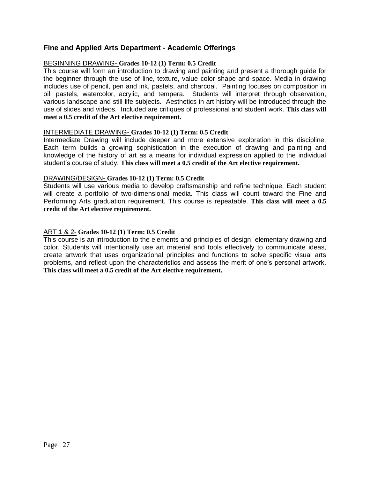# **Fine and Applied Arts Department - Academic Offerings**

#### BEGINNING DRAWING- **Grades 10-12 (1) Term: 0.5 Credit**

This course will form an introduction to drawing and painting and present a thorough guide for the beginner through the use of line, texture, value color shape and space. Media in drawing includes use of pencil, pen and ink, pastels, and charcoal. Painting focuses on composition in oil, pastels, watercolor, acrylic, and tempera. Students will interpret through observation, various landscape and still life subjects. Aesthetics in art history will be introduced through the use of slides and videos. Included are critiques of professional and student work. **This class will meet a 0.5 credit of the Art elective requirement.**

#### INTERMEDIATE DRAWING- **Grades 10-12 (1) Term: 0.5 Credit**

Intermediate Drawing will include deeper and more extensive exploration in this discipline. Each term builds a growing sophistication in the execution of drawing and painting and knowledge of the history of art as a means for individual expression applied to the individual student's course of study. **This class will meet a 0.5 credit of the Art elective requirement.**

#### DRAWING/DESIGN- **Grades 10-12 (1) Term: 0.5 Credit**

Students will use various media to develop craftsmanship and refine technique. Each student will create a portfolio of two-dimensional media. This class will count toward the Fine and Performing Arts graduation requirement. This course is repeatable. **This class will meet a 0.5 credit of the Art elective requirement.**

# ART 1 & 2- **Grades 10-12 (1) Term: 0.5 Credit**

This course is an introduction to the elements and principles of design, elementary drawing and color. Students will intentionally use art material and tools effectively to communicate ideas, create artwork that uses organizational principles and functions to solve specific visual arts problems, and reflect upon the characteristics and assess the merit of one's personal artwork. **This class will meet a 0.5 credit of the Art elective requirement.**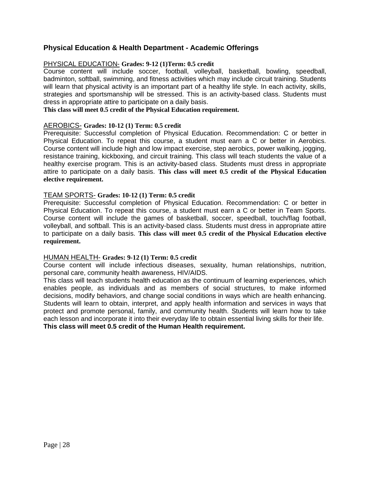# **Physical Education & Health Department - Academic Offerings**

# PHYSICAL EDUCATION- **Grades: 9-12 (1)Term: 0.5 credit**

Course content will include soccer, football, volleyball, basketball, bowling, speedball, badminton, softball, swimming, and fitness activities which may include circuit training. Students will learn that physical activity is an important part of a healthy life style. In each activity, skills, strategies and sportsmanship will be stressed. This is an activity-based class. Students must dress in appropriate attire to participate on a daily basis.

# **This class will meet 0.5 credit of the Physical Education requirement.**

# AEROBICS- **Grades: 10-12 (1) Term: 0.5 credit**

Prerequisite: Successful completion of Physical Education. Recommendation: C or better in Physical Education. To repeat this course, a student must earn a C or better in Aerobics. Course content will include high and low impact exercise, step aerobics, power walking, jogging, resistance training, kickboxing, and circuit training. This class will teach students the value of a healthy exercise program. This is an activity-based class. Students must dress in appropriate attire to participate on a daily basis. **This class will meet 0.5 credit of the Physical Education elective requirement.**

# TEAM SPORTS- **Grades: 10-12 (1) Term: 0.5 credit**

Prerequisite: Successful completion of Physical Education. Recommendation: C or better in Physical Education. To repeat this course, a student must earn a C or better in Team Sports. Course content will include the games of basketball, soccer, speedball, touch/flag football, volleyball, and softball. This is an activity-based class. Students must dress in appropriate attire to participate on a daily basis. **This class will meet 0.5 credit of the Physical Education elective requirement.**

#### HUMAN HEALTH- **Grades: 9-12 (1) Term: 0.5 credit**

Course content will include infectious diseases, sexuality, human relationships, nutrition, personal care, community health awareness, HIV/AIDS.

This class will teach students health education as the continuum of learning experiences, which enables people, as individuals and as members of social structures, to make informed decisions, modify behaviors, and change social conditions in ways which are health enhancing. Students will learn to obtain, interpret, and apply health information and services in ways that protect and promote personal, family, and community health. Students will learn how to take each lesson and incorporate it into their everyday life to obtain essential living skills for their life. **This class will meet 0.5 credit of the Human Health requirement.**